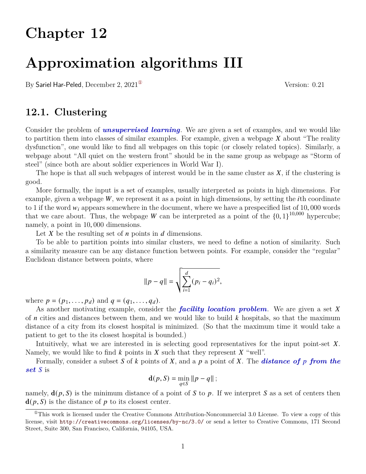# **Chapter 12**

# **Approximation algorithms III**

By Sariel Har-Peled, December 2,  $2021^{\circ}$  Version: 0.21

## **12.1. Clustering**

Consider the problem of *unsupervised learning*. We are given a set of examples, and we would like to partition them into classes of similar examples. For example, given a webpage  $X$  about "The reality dysfunction", one would like to find all webpages on this topic (or closely related topics). Similarly, a webpage about "All quiet on the western front" should be in the same group as webpage as "Storm of steel" (since both are about soldier experiences in World War I).

The hope is that all such webpages of interest would be in the same cluster as  $X$ , if the clustering is good.

More formally, the input is a set of examples, usually interpreted as points in high dimensions. For example, given a webpage  $W$ , we represent it as a point in high dimensions, by setting the *i*th coordinate to 1 if the word  $w_i$  appears somewhere in the document, where we have a prespecified list of 10,000 words that we care about. Thus, the webpage W can be interpreted as a point of the  $\{0, 1\}^{10,000}$  hypercube; namely, a point in 10, 000 dimensions.

Let X be the resulting set of  $n$  points in  $d$  dimensions.

To be able to partition points into similar clusters, we need to define a notion of similarity. Such a similarity measure can be any distance function between points. For example, consider the "regular" Euclidean distance between points, where

$$
||p - q|| = \sqrt{\sum_{i=1}^{d} (p_i - q_i)^2},
$$

where  $p = (p_1, ..., p_d)$  and  $q = (q_1, ..., q_d)$ .

As another motivating example, consider the *facility location problem*. We are given a set X of *n* cities and distances between them, and we would like to build  $k$  hospitals, so that the maximum distance of a city from its closest hospital is minimized. (So that the maximum time it would take a patient to get to the its closest hospital is bounded.)

Intuitively, what we are interested in is selecting good representatives for the input point-set  $X$ . Namely, we would like to find  $k$  points in  $X$  such that they represent  $X$  "well".

Formally, consider a subset S of k points of X, and a p a point of X. The **distance of** p from the *set* is

$$
\mathbf{d}(p,S)=\min_{q\in S}\left\Vert p-q\right\Vert ;
$$

namely,  $\mathbf{d}(p, S)$  is the minimum distance of a point of S to p. If we interpret S as a set of centers then  $\mathbf{d}(p, S)$  is the distance of p to its closest center.

<span id="page-0-0"></span> $^{\circ}$ This work is licensed under the Creative Commons Attribution-Noncommercial 3.0 License. To view a copy of this license, visit <http://creativecommons.org/licenses/by-nc/3.0/> or send a letter to Creative Commons, 171 Second Street, Suite 300, San Francisco, California, 94105, USA.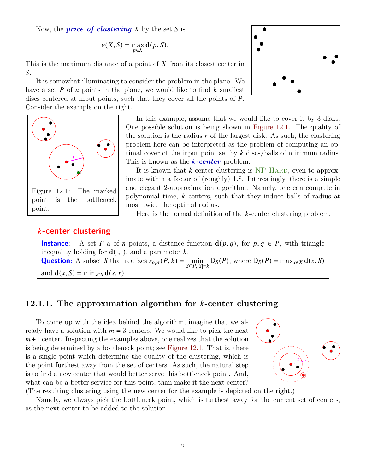Now, the *price* of clustering  $X$  by the set  $S$  is

$$
\nu(X, S) = \max_{p \in X} \mathbf{d}(p, S).
$$

This is the maximum distance of a point of  $X$  from its closest center in  $S$ .

It is somewhat illuminating to consider the problem in the plane. We have a set  $P$  of  $n$  points in the plane, we would like to find  $k$  smallest discs centered at input points, such that they cover all the points of *.* Consider the example on the right.



In this example, assume that we would like to cover it by 3 disks. One possible solution is being shown in [Figure 12.1.](#page-1-0) The quality of the solution is the radius  $r$  of the largest disk. As such, the clustering problem here can be interpreted as the problem of computing an optimal cover of the input point set by  $k$  discs/balls of minimum radius. This is known as the *k*-center problem.

<span id="page-1-0"></span>It is known that  $k$ -center clustering is NP-HARD, even to approximate within a factor of (roughly) 1.8. Interestingly, there is a simple and elegant 2-approximation algorithm. Namely, one can compute in polynomial time,  $k$  centers, such that they induce balls of radius at most twice the optimal radius.

Here is the formal definition of the  $k$ -center clustering problem.

#### **-center clustering**

**Instance**: A set P a of n points, a distance function  $d(p, q)$ , for  $p, q \in P$ , with triangle inequality holding for  $\mathbf{d}(\cdot, \cdot)$ , and a parameter k. **Question:** A subset S that realizes  $r_{opt}(P, k) = \min_{S \subseteq P, |S| = k} D_S(P)$ , where  $D_S(P) = \max_{x \in X} d(x, S)$ and  $\mathbf{d}(x, S) = \min_{s \in S} \mathbf{d}(s, x)$ .

### **12.1.1.** The approximation algorithm for k-center clustering

To come up with the idea behind the algorithm, imagine that we already have a solution with  $m = 3$  centers. We would like to pick the next  $m+1$  center. Inspecting the examples above, one realizes that the solution is being determined by a bottleneck point; see [Figure 12.1.](#page-1-0) That is, there is a single point which determine the quality of the clustering, which is the point furthest away from the set of centers. As such, the natural step is to find a new center that would better serve this bottleneck point. And, what can be a better service for this point, than make it the next center?



(The resulting clustering using the new center for the example is depicted on the right.)

Namely, we always pick the bottleneck point, which is furthest away for the current set of centers, as the next center to be added to the solution.

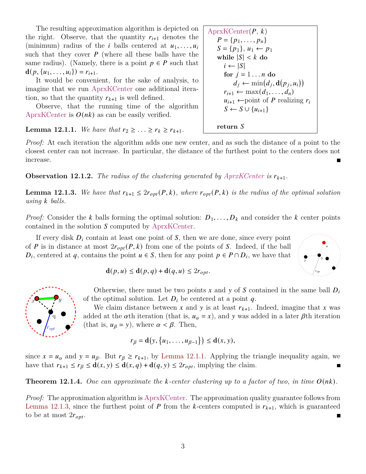The resulting approximation algorithm is depicted on the right. Observe, that the quantity  $r_{i+1}$  denotes the (minimum) radius of the *i* balls centered at  $u_1, \ldots, u_i$ such that they cover  $P$  (where all these balls have the same radius). (Namely, there is a point  $p \in P$  such that  $\mathbf{d}(p, \{u_1, \ldots, u_i\}) = r_{i+1}.$ 

It would be convenient, for the sake of analysis, to imagine that we run AprxKCenter one additional iteration, so that the quantity  $r_{k+1}$  is well defined.

Observe, that the running time of the algorithm AprxKCenter is  $O(nk)$  as can be easily verified.

<span id="page-2-0"></span>**Lemma 12.1.1.** *We have that*  $r_2 \geq ... \geq r_k \geq r_{k+1}$ .

*Proof:* At each iteration the algorithm adds one new center, and as such the distance of a point to the closest center can not increase. In particular, the distance of the furthest point to the centers does not increase.

**Observation 12.1.2.** The radius of the clustering generated by  $AprxKCenter$  is  $r_{k+1}$ .

<span id="page-2-1"></span>**Lemma 12.1.3.** We have that  $r_{k+1} \leq 2r_{opt}(P, k)$ , where  $r_{opt}(P, k)$  is the radius of the optimal solution *using balls.*

*Proof:* Consider the k balls forming the optimal solution:  $D_1, \ldots, D_k$  and consider the k center points contained in the solution  $S$  computed by AprxKCenter.

If every disk  $D_i$  contain at least one point of S, then we are done, since every point of P is in distance at most  $2r_{opt}(P, k)$  from one of the points of S. Indeed, if the ball  $D_i$ , centered at q, contains the point  $u \in S$ , then for any point  $p \in P \cap D_i$ , we have that



q  $r_{opt}$  $x^{\bullet}$ ,  $y$ 

Otherwise, there must be two points x and y of S contained in the same ball  $D_i$ of the optimal solution. Let  $D_i$  be centered at a point  $q$ .

We claim distance between x and y is at least  $r_{k+1}$ . Indeed, imagine that x was added at the  $\alpha$ th iteration (that is,  $u_{\alpha} = x$ ), and y was added in a later  $\beta$ th iteration (that is,  $u_{\beta} = y$ ), where  $\alpha < \beta$ . Then,

$$
r_{\beta} = \mathbf{d}\big(y, \big\{u_1, \ldots, u_{\beta-1}\big\}\big) \leq \mathbf{d}(x, y),
$$

since  $x = u_\alpha$  and  $y = u_\beta$ . But  $r_\beta \ge r_{k+1}$ , by [Lemma 12.1.1.](#page-2-0) Applying the triangle inequality again, we have that  $r_{k+1} \leq r_{\beta} \leq \mathbf{d}(x, y) \leq \mathbf{d}(x, q) + \mathbf{d}(q, y) \leq 2r_{opt}$ , implying the claim.  $\blacksquare$ 

**Theorem 12.1.4.** One can approximate the *k*-center clustering up to a factor of two, in time  $O(nk)$ .

*Proof:* The approximation algorithm is AprxKCenter. The approximation quality guarantee follows from [Lemma 12.1.3,](#page-2-1) since the furthest point of P from the k-centers computed is  $r_{k+1}$ , which is guaranteed to be at most  $2r_{opt}$ .

$$
AprxKCenter(P, k)
$$
\n
$$
P = \{p_1, \ldots, p_n\}
$$
\n
$$
S = \{p_1\}, u_1 \leftarrow p_1
$$
\nwhile  $|S| < k$  do\n
$$
i \leftarrow |S|
$$
\nfor  $j = 1 \ldots n$  do\n
$$
d_j \leftarrow \min(d_j, \mathbf{d}(p_j, u_i))
$$
\n
$$
r_{i+1} \leftarrow \max(d_1, \ldots, d_n)
$$
\n
$$
u_{i+1} \leftarrow \text{point of } P \text{ realizing } r_i
$$
\n
$$
S \leftarrow S \cup \{u_{i+1}\}
$$
\nreturn  $S$ 

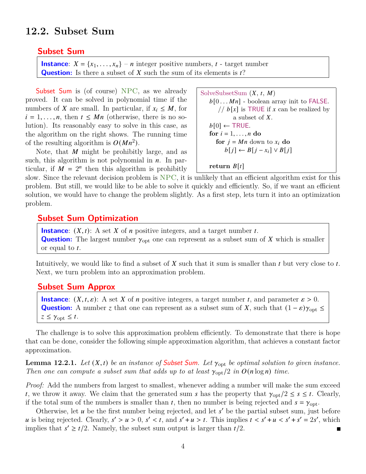## **12.2. Subset Sum**

#### **Subset Sum**

```
Instance: X = \{x_1, \ldots, x_n\} - n integer positive numbers, t - target number
Question: Is there a subset of X such the sum of its elements is t?
```
Subset Sum is (of course) NPC, as we already proved. It can be solved in polynomial time if the numbers of X are small. In particular, if  $x_i \leq M$ , for  $i = 1, \ldots, n$ , then  $t \leq Mn$  (otherwise, there is no solution). Its reasonably easy to solve in this case, as the algorithm on the right shows. The running time of the resulting algorithm is  $O(Mn^2)$ .

Note, that  $M$  might be prohibitly large, and as such, this algorithm is not polynomial in  $n$ . In particular, if  $\overline{M} = 2^n$  then this algorithm is prohibitly

```
SolveSubsetSum (X, t, M)b[0 \ldots Mn] - boolean array init to FALSE.
      // b[x] is TRUE if x can be realized by
           a subset of X.
   b[0] \leftarrow \text{TRUE}. do
     for j = Mn down to x_i do
        b[j] \leftarrow B[j - x_i] \vee B[j]return B[t]
```
slow. Since the relevant decision problem is NPC, it is unlikely that an efficient algorithm exist for this problem. But still, we would like to be able to solve it quickly and efficiently. So, if we want an efficient solution, we would have to change the problem slightly. As a first step, lets turn it into an optimization problem.

### **Subset Sum Optimization**

**Instance**:  $(X, t)$ : A set X of *n* positive integers, and a target number t. **Question:** The largest number  $\gamma_{\text{opt}}$  one can represent as a subset sum of X which is smaller or equal to  $t$ .

Intuitively, we would like to find a subset of  $X$  such that it sum is smaller than  $t$  but very close to  $t$ . Next, we turn problem into an approximation problem.

## **Subset Sum Approx**

**Instance**:  $(X, t, \varepsilon)$ : A set X of *n* positive integers, a target number *t*, and parameter  $\varepsilon > 0$ . **Question:** A number *z* that one can represent as a subset sum of X, such that  $(1 - \varepsilon)\gamma_{\text{opt}} \le$  $z \leq \gamma_{\text{opt}} \leq t$ .

The challenge is to solve this approximation problem efficiently. To demonstrate that there is hope that can be done, consider the following simple approximation algorithm, that achieves a constant factor approximation.

**Lemma 12.2.1.** Let  $(X, t)$  be an instance of **Subset Sum**. Let  $\gamma_{\text{opt}}$  be optimal solution to given instance. *Then one can compute a subset sum that adds up to at least*  $\gamma_{\text{opt}}/2$  *in*  $O(n \log n)$  *time.* 

*Proof:* Add the numbers from largest to smallest, whenever adding a number will make the sum exceed t, we throw it away. We claim that the generated sum s has the property that  $\gamma_{\text{opt}}/2 \leq s \leq t$ . Clearly, if the total sum of the numbers is smaller than t, then no number is being rejected and  $s = \gamma_{\text{opt}}$ .

Otherwise, let  $u$  be the first number being rejected, and let  $s'$  be the partial subset sum, just before u is being rejected. Clearly,  $s' > u > 0$ ,  $s' < t$ , and  $s' + u > t$ . This implies  $t < s' + u < s' + s' = 2s'$ , which implies that  $s' \geq t/2$ . Namely, the subset sum output is larger than  $t/2$ . П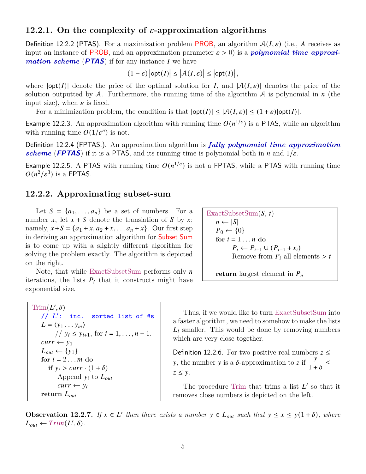## **12.2.1.** On the complexity of  $\varepsilon$ -approximation algorithms

Definition 12.2.2 (PTAS). For a maximization problem PROB, an algorithm  $A(I, \varepsilon)$  (i.e., A receives as input an instance of **PROB**, and an approximation parameter  $\varepsilon > 0$  is a **polynomial time approxi***mation scheme* (**PTAS**) if for any instance  $I$  we have

$$
(1 - \varepsilon) |opt(I)| \le |A(I, \varepsilon)| \le |opt(I)|,
$$

where  $|\text{opt}(I)|$  denote the price of the optimal solution for I, and  $|\mathcal{A}(I,\varepsilon)|$  denotes the price of the solution outputted by A. Furthermore, the running time of the algorithm A is polynomial in  $n$  (the input size), when  $\varepsilon$  is fixed.

For a minimization problem, the condition is that  $|\text{opt}(I)| \leq |\mathcal{A}(I,\varepsilon)| \leq (1+\varepsilon)|\text{opt}(I)|$ .

Example 12.2.3. An approximation algorithm with running time  $O(n^{1/\varepsilon})$  is a PTAS, while an algorithm with running time  $O(1/\varepsilon^n)$  is not.

Definition 12.2.4 (FPTAS.). An approximation algorithm is *fully polynomial time approximation scheme* (**FPTAS**) if it is a PTAS, and its running time is polynomial both in n and  $1/\varepsilon$ .

Example 12.2.5. A PTAS with running time  $O(n^{1/\varepsilon})$  is not a FPTAS, while a PTAS with running time  $O(n^2/\varepsilon^3)$  is a FPTAS.

#### **12.2.2. Approximating subset-sum**

Let  $S = \{a_1, \ldots, a_n\}$  be a set of numbers. For a number x, let  $x + S$  denote the translation of S by x; namely,  $x + S = {a_1 + x, a_2 + x, \dots a_n + x}$ . Our first step in deriving an approximation algorithm for Subset Sum is to come up with a slightly different algorithm for solving the problem exactly. The algorithm is depicted on the right.

Note, that while ExactSubsetSum performs only  $n$ iterations, the lists  $P_i$  that it constructs might have exponential size.

```
\mathrm{Trim}(L',\delta)// L': inc.
                          sorted list of #s
   L = \langle y_1 \dots y_m \rangle// y_i \le y_{i+1}, for i = 1, ..., n - 1.
   curr \leftarrow y_1L_{out} \leftarrow \{y_1\}for i = 2...m do
       if y_i > curr \cdot (1 + \delta)Append y_i to L_{out}curr \leftarrow y_ireturn L_{out}
```
 $\text{ExactSubsetSum}(S, t)$  $n \leftarrow |S|$  $P_0 \leftarrow \{0\}$ for  $i = 1...n$  do  $P_i \leftarrow P_{i-1} \cup (P_{i-1} + x_i)$ Remove from  $P_i$  all elements > t **return** largest element in  $P_n$ 

Thus, if we would like to turn ExactSubsetSum into a faster algorithm, we need to somehow to make the lists  $L_l$  smaller. This would be done by removing numbers which are very close together.

Definition 12.2.6. For two positive real numbers  $z \leq$ Definition 12.2.0. For two positive real numbers<br>y, the number y is a  $\delta$ -approximation to z if  $\frac{y}{1+y}$  $\frac{y}{1+\delta} \le$  $z \leq y$ .

The procedure Trim that trims a list  $L'$  so that it removes close numbers is depicted on the left.

<span id="page-4-0"></span>**Observation 12.2.7.** If  $x \in L'$  then there exists a number  $y \in L_{out}$  such that  $y \le x \le y(1+\delta)$ , where  $L_{out} \leftarrow Trim(L', \delta).$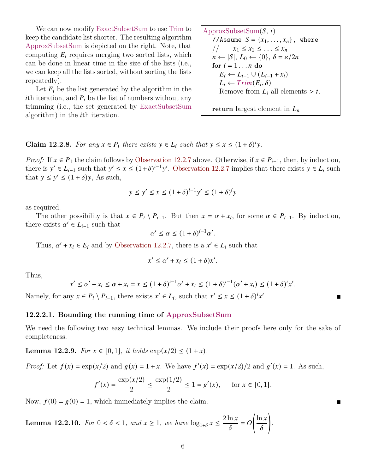We can now modify ExactSubsetSum to use Trim to keep the candidate list shorter. The resulting algorithm ApproxSubsetSum is depicted on the right. Note, that computing  $E_i$  requires merging two sorted lists, which can be done in linear time in the size of the lists (i.e., we can keep all the lists sorted, without sorting the lists repeatedly).

Let  $E_i$  be the list generated by the algorithm in the *i*th iteration, and  $P_i$  be the list of numbers without any trimming (i.e., the set generated by ExactSubsetSum algorithm) in the  $i$ th iteration.

ApproxSubsetSum $(S, t)$ //Assume  $S = \{x_1, \ldots, x_n\}$ , where //  $x_1 \leq x_2 \leq \ldots \leq x_n$  $n \leftarrow |S|, L_0 \leftarrow \{0\}, \delta = \varepsilon/2n$ for  $i = 1...n$  do  $E_i \leftarrow L_{i-1} \cup (L_{i-1} + x_i)$  $L_i \leftarrow Trim(E_i, \delta)$ Remove from  $L_i$  all elements > t.

 $\blacksquare$ 

**return** largest element in  $L_n$ 

<span id="page-5-2"></span>**Claim 12.2.8.** For any  $x \in P_i$  there exists  $y \in L_i$  such that  $y \leq x \leq (1+\delta)^i y$ .

*Proof:* If  $x \in P_1$  the claim follows by [Observation 12.2.7](#page-4-0) above. Otherwise, if  $x \in P_{i-1}$ , then, by induction, there is  $y' \in L_{i-1}$  such that  $y' \le x \le (1+\delta)^{i-1}y'$ . [Observation 12.2.7](#page-4-0) implies that there exists  $y \in L_i$  such that  $y \le y' \le (1 + \delta)y$ , As such,

$$
y \le y' \le x \le (1+\delta)^{i-1}y' \le (1+\delta)^{i}y
$$

as required.

The other possibility is that  $x \in P_i \setminus P_{i-1}$ . But then  $x = \alpha + x_i$ , for some  $\alpha \in P_{i-1}$ . By induction, there exists  $\alpha' \in L_{i-1}$  such that

$$
\alpha' \le \alpha \le (1+\delta)^{i-1}\alpha'
$$

.

Thus,  $\alpha' + x_i \in E_i$  and by [Observation 12.2.7,](#page-4-0) there is a  $x' \in L_i$  such that

$$
x' \le \alpha' + x_i \le (1 + \delta)x'.
$$

Thus,

$$
x' \le \alpha' + x_i \le \alpha + x_i = x \le (1+\delta)^{i-1}\alpha' + x_i \le (1+\delta)^{i-1}(\alpha' + x_i) \le (1+\delta)^i x'.
$$

Namely, for any  $x \in P_i \setminus P_{i-1}$ , there exists  $x' \in L_i$ , such that  $x' \le x \le (1+\delta)^i x'$ .

#### **12.2.2.1. Bounding the running time of ApproxSubsetSum**

We need the following two easy technical lemmas. We include their proofs here only for the sake of completeness.

<span id="page-5-0"></span>**Lemma 12.2.9.** *For*  $x \in [0, 1]$ *, it holds*  $\exp(x/2) \leq (1 + x)$ *.* 

*Proof:* Let  $f(x) = \exp(x/2)$  and  $g(x) = 1 + x$ . We have  $f'(x) = \exp(x/2)/2$  and  $g'(x) = 1$ . As such,

$$
f'(x) = \frac{\exp(x/2)}{2} \le \frac{\exp(1/2)}{2} \le 1 = g'(x), \quad \text{for } x \in [0, 1].
$$

Now,  $f(0) = g(0) = 1$ , which immediately implies the claim.

<span id="page-5-1"></span>**Lemma 12.2.10.** *For*  $0 < \delta < 1$ *, and*  $x \ge 1$ *, we have*  $\log_{1+\delta} x \le \frac{2 \ln x}{s}$  $\frac{\pi x}{\delta} = 0$  $\ln x$  $\overline{\delta}$ ! .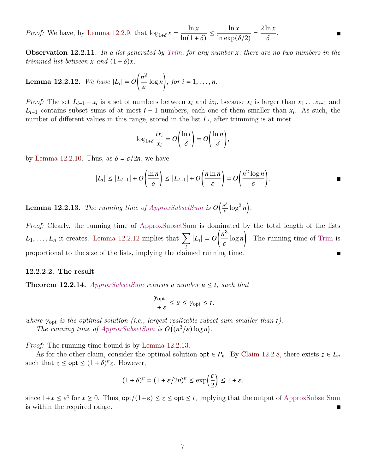*Proof:* We have, by [Lemma 12.2.9,](#page-5-0) that  $\log_{1+\delta} x = \frac{\ln x}{\ln(1+x)}$  $\frac{\ln x}{\ln(1 + \delta)} \le \frac{\ln x}{\ln \exp( \delta)}$  $\frac{\ln x}{\ln \exp(\delta/2)} = \frac{2 \ln x}{\delta}$  $\frac{1}{\delta}$ .

**Observation 12.2.11.** *In a list generated by Trim, for any number , there are no two numbers in the trimmed list between*  $x$  *and*  $(1+\delta)x$ *.* 

<span id="page-6-0"></span>**Lemma 12.2.12.** We have  $|L_i| = O\left(\frac{n^2}{n}\right)$  $\left(\frac{i^2}{\varepsilon}\log n\right)$ , for  $i=1,\ldots,n$ .

*Proof:* The set  $L_{i-1} + x_i$  is a set of numbers between  $x_i$  and  $ix_i$ , because  $x_i$  is larger than  $x_1 \ldots x_{i-1}$  and  $L_{i-1}$  contains subset sums of at most  $i-1$  numbers, each one of them smaller than  $x_i$ . As such, the number of different values in this range, stored in the list  $L_i$ , after trimming is at most

$$
\log_{1+\delta}\frac{ix_i}{x_i}=O\bigg(\frac{\ln i}{\delta}\bigg)=O\bigg(\frac{\ln n}{\delta}\bigg),\,
$$

by [Lemma 12.2.10.](#page-5-1) Thus, as  $\delta = \varepsilon/2n$ , we have

$$
|L_i| \leq |L_{i-1}| + O\left(\frac{\ln n}{\delta}\right) \leq |L_{i-1}| + O\left(\frac{n \ln n}{\varepsilon}\right) = O\left(\frac{n^2 \log n}{\varepsilon}\right).
$$

<span id="page-6-1"></span>**Lemma 12.2.13.** *The running time of ApproxSubsetSum is*  $O\left(\frac{n^3}{5}\right)$  $\frac{i^3}{\varepsilon} \log^2 n$ .

*Proof:* Clearly, the running time of ApproxSubsetSum is dominated by the total length of the lists  $L_1, \ldots, L_n$  it creates. [Lemma 12.2.12](#page-6-0) implies that  $\sum_{i=1}^{n} L_i$ i  $|L_i| = O\left(\frac{n^3}{n}\right)$  $\frac{n^3}{\varepsilon} \log n$ . The running time of Trim is proportional to the size of the lists, implying the claimed running time.

#### **12.2.2.2. The result**

**Theorem 12.2.14.** *ApproxSubsetSum returns a number*  $u \leq t$ , such that

$$
\frac{\gamma_{\text{opt}}}{1+\varepsilon} \le u \le \gamma_{\text{opt}} \le t,
$$

where  $\gamma_{\text{opt}}$  is the optimal solution (i.e., largest realizable subset sum smaller than  $t$ ). The running time of  $ApproxSubsetSum$  is  $O((n^3/\varepsilon) \log n)$ .

*Proof:* The running time bound is by [Lemma 12.2.13.](#page-6-1)

As for the other claim, consider the optimal solution  $\varphi$ t  $\in P_n$ . By [Claim 12.2.8,](#page-5-2) there exists  $z \in L_n$ such that  $z \le opt \le (1 + \delta)^n z$ . However,

$$
(1+\delta)^n = (1+\varepsilon/2n)^n \le \exp\left(\frac{\varepsilon}{2}\right) \le 1+\varepsilon,
$$

since  $1+x \leq e^x$  for  $x \geq 0$ . Thus,  $\text{opt}/(1+\varepsilon) \leq z \leq \text{opt} \leq t$ , implying that the output of ApproxSubsetSum is within the required range.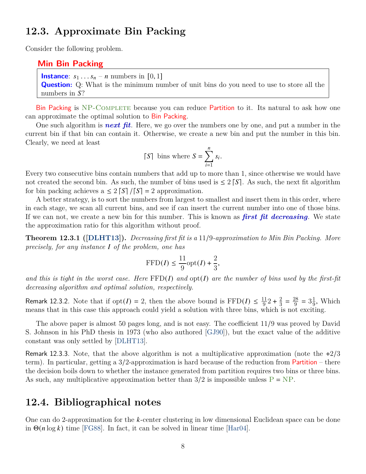## **12.3. Approximate Bin Packing**

Consider the following problem.

#### **Min Bin Packing**

**Instance**:  $s_1 \nldots s_n - n$  numbers in [0, 1] **Question:** Q: What is the minimum number of unit bins do you need to use to store all the numbers in  $S$ ?

Bin Packing is NP-COMPLETE because you can reduce Partition to it. Its natural to ask how one can approximate the optimal solution to Bin Packing.

One such algorithm is *next fit*. Here, we go over the numbers one by one, and put a number in the current bin if that bin can contain it. Otherwise, we create a new bin and put the number in this bin. Clearly, we need at least

$$
\lceil S \rceil \text{ bins where } S = \sum_{i=1}^{n} s_i.
$$

Every two consecutive bins contain numbers that add up to more than 1, since otherwise we would have not created the second bin. As such, the number of bins used is  $\leq 2 \lceil S \rceil$ . As such, the next fit algorithm for bin packing achieves a  $\leq 2 \lceil S \rceil / |S| = 2$  approximation.

A better strategy, is to sort the numbers from largest to smallest and insert them in this order, where in each stage, we scan all current bins, and see if can insert the current number into one of those bins. If we can not, we create a new bin for this number. This is known as *first fit decreasing*. We state the approximation ratio for this algorithm without proof.

**Theorem 12.3.1 ([\[DLHT13\]](#page-8-0)).** *Decreasing first fit is a* 11/9*-approximation to Min Bin Packing. More precisely, for any instance of the problem, one has*

$$
\operatorname{FFD}(I) \leq \frac{11}{9}\mathrm{opt}(I) + \frac{2}{3},
$$

and this is tight in the worst case. Here  $FFD(I)$  and  $opt(I)$  are the number of bins used by the first-fit *decreasing algorithm and optimal solution, respectively.*

Remark 12.3.2. Note that if  $opt(I) = 2$ , then the above bound is  $FFD(I) \leq \frac{11}{9}2 + \frac{2}{3}$  $rac{2}{3} = \frac{28}{9}$  $\frac{28}{9} = 3\frac{1}{9}$  $\frac{1}{9}$ , Which means that in this case this approach could yield a solution with three bins, which is not exciting.

The above paper is almost 50 pages long, and is not easy. The coefficient 11/9 was proved by David S. Johnson in his PhD thesis in 1973 (who also authored [\[GJ90\]](#page-8-1)), but the exact value of the additive constant was only settled by [\[DLHT13\]](#page-8-0).

Remark 12.3.3. Note, that the above algorithm is not a multiplicative approximation (note the  $+2/3$ term). In particular, getting a 3/2-approximation is hard because of the reduction from Partition – there the decision boils down to whether the instance generated from partition requires two bins or three bins. As such, any multiplicative approximation better than  $3/2$  is impossible unless  $P = NP$ .

# **12.4. Bibliographical notes**

One can do 2-approximation for the  $k$ -center clustering in low dimensional Euclidean space can be done in  $\Theta(n \log k)$  time [\[FG88\]](#page-8-2). In fact, it can be solved in linear time [\[Har04\]](#page-8-3).